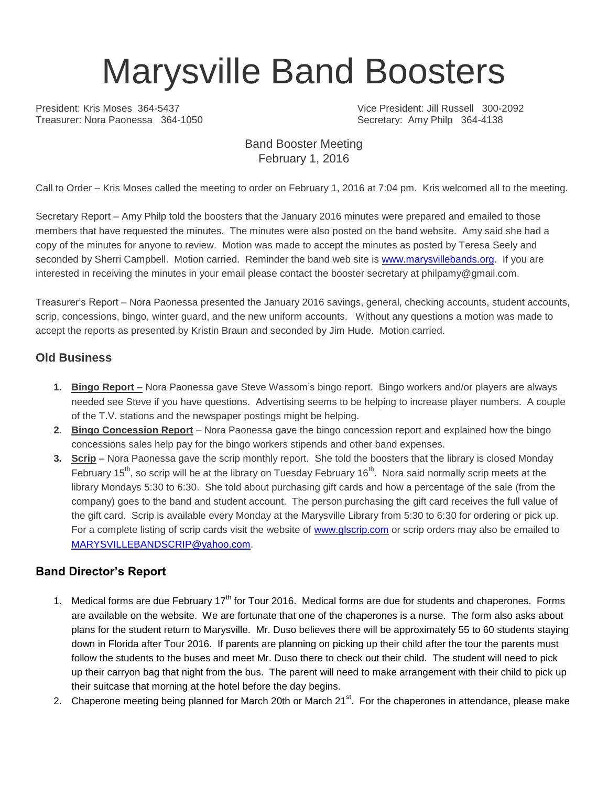# Marysville Band Boosters

President: Kris Moses 364-5437 Vice President: Jill Russell 300-2092 Secretary: Amy Philp 364-4138

#### Band Booster Meeting February 1, 2016

Call to Order – Kris Moses called the meeting to order on February 1, 2016 at 7:04 pm. Kris welcomed all to the meeting.

Secretary Report – Amy Philp told the boosters that the January 2016 minutes were prepared and emailed to those members that have requested the minutes. The minutes were also posted on the band website. Amy said she had a copy of the minutes for anyone to review. Motion was made to accept the minutes as posted by Teresa Seely and seconded by Sherri Campbell. Motion carried. Reminder the band web site is [www.marysvillebands.org.](http://www.marysvillebands.org/) If you are interested in receiving the minutes in your email please contact the booster secretary at philpamy@gmail.com.

Treasurer's Report – Nora Paonessa presented the January 2016 savings, general, checking accounts, student accounts, scrip, concessions, bingo, winter guard, and the new uniform accounts. Without any questions a motion was made to accept the reports as presented by Kristin Braun and seconded by Jim Hude. Motion carried.

### **Old Business**

- **1. Bingo Report –** Nora Paonessa gave Steve Wassom's bingo report. Bingo workers and/or players are always needed see Steve if you have questions. Advertising seems to be helping to increase player numbers. A couple of the T.V. stations and the newspaper postings might be helping.
- **2. Bingo Concession Report** Nora Paonessa gave the bingo concession report and explained how the bingo concessions sales help pay for the bingo workers stipends and other band expenses.
- **3. Scrip** Nora Paonessa gave the scrip monthly report. She told the boosters that the library is closed Monday February 15<sup>th</sup>, so scrip will be at the library on Tuesday February 16<sup>th</sup>. Nora said normally scrip meets at the library Mondays 5:30 to 6:30. She told about purchasing gift cards and how a percentage of the sale (from the company) goes to the band and student account. The person purchasing the gift card receives the full value of the gift card. Scrip is available every Monday at the Marysville Library from 5:30 to 6:30 for ordering or pick up. For a complete listing of scrip cards visit the website of [www.glscrip.com](http://www.glscrip.com/) or scrip orders may also be emailed to [MARYSVILLEBANDSCRIP@yahoo.com.](mailto:MARYSVILLEBANDSCRIP@yahoo.com)

### **Band Director's Report**

- 1. Medical forms are due February 17<sup>th</sup> for Tour 2016. Medical forms are due for students and chaperones. Forms are available on the website. We are fortunate that one of the chaperones is a nurse. The form also asks about plans for the student return to Marysville. Mr. Duso believes there will be approximately 55 to 60 students staying down in Florida after Tour 2016. If parents are planning on picking up their child after the tour the parents must follow the students to the buses and meet Mr. Duso there to check out their child. The student will need to pick up their carryon bag that night from the bus. The parent will need to make arrangement with their child to pick up their suitcase that morning at the hotel before the day begins.
- 2. Chaperone meeting being planned for March 20th or March 21<sup>st</sup>. For the chaperones in attendance, please make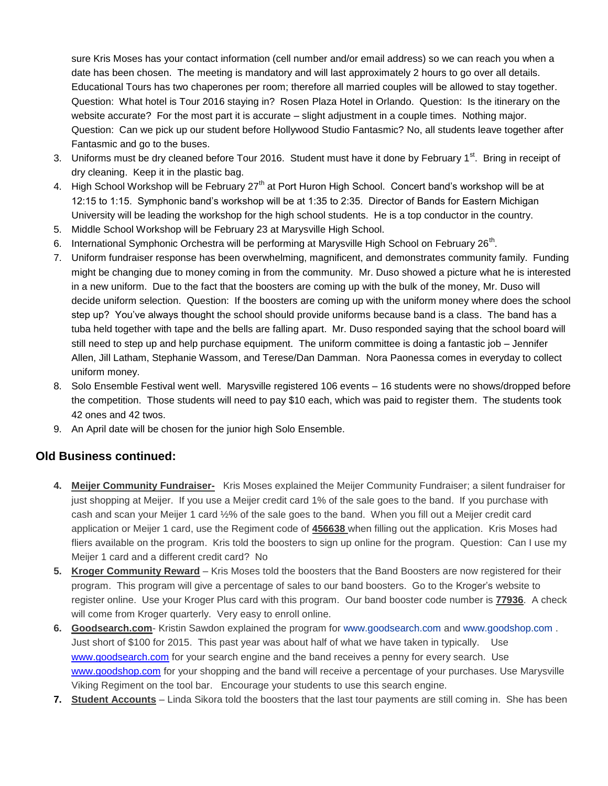sure Kris Moses has your contact information (cell number and/or email address) so we can reach you when a date has been chosen. The meeting is mandatory and will last approximately 2 hours to go over all details. Educational Tours has two chaperones per room; therefore all married couples will be allowed to stay together. Question: What hotel is Tour 2016 staying in? Rosen Plaza Hotel in Orlando. Question: Is the itinerary on the website accurate? For the most part it is accurate – slight adjustment in a couple times. Nothing major. Question: Can we pick up our student before Hollywood Studio Fantasmic? No, all students leave together after Fantasmic and go to the buses.

- 3. Uniforms must be dry cleaned before Tour 2016. Student must have it done by February 1<sup>st</sup>. Bring in receipt of dry cleaning. Keep it in the plastic bag.
- 4. High School Workshop will be February 27<sup>th</sup> at Port Huron High School. Concert band's workshop will be at 12:15 to 1:15. Symphonic band's workshop will be at 1:35 to 2:35. Director of Bands for Eastern Michigan University will be leading the workshop for the high school students. He is a top conductor in the country.
- 5. Middle School Workshop will be February 23 at Marysville High School.
- 6. International Symphonic Orchestra will be performing at Marysville High School on February 26<sup>th</sup>.
- 7. Uniform fundraiser response has been overwhelming, magnificent, and demonstrates community family. Funding might be changing due to money coming in from the community. Mr. Duso showed a picture what he is interested in a new uniform. Due to the fact that the boosters are coming up with the bulk of the money, Mr. Duso will decide uniform selection. Question: If the boosters are coming up with the uniform money where does the school step up? You've always thought the school should provide uniforms because band is a class. The band has a tuba held together with tape and the bells are falling apart. Mr. Duso responded saying that the school board will still need to step up and help purchase equipment. The uniform committee is doing a fantastic job – Jennifer Allen, Jill Latham, Stephanie Wassom, and Terese/Dan Damman. Nora Paonessa comes in everyday to collect uniform money.
- 8. Solo Ensemble Festival went well. Marysville registered 106 events 16 students were no shows/dropped before the competition. Those students will need to pay \$10 each, which was paid to register them. The students took 42 ones and 42 twos.
- 9. An April date will be chosen for the junior high Solo Ensemble.

#### **Old Business continued:**

- **4. Meijer Community Fundraiser-** Kris Moses explained the Meijer Community Fundraiser; a silent fundraiser for just shopping at Meijer. If you use a Meijer credit card 1% of the sale goes to the band. If you purchase with cash and scan your Meijer 1 card ½% of the sale goes to the band. When you fill out a Meijer credit card application or Meijer 1 card, use the Regiment code of **456638** when filling out the application. Kris Moses had fliers available on the program. Kris told the boosters to sign up online for the program. Question: Can I use my Meijer 1 card and a different credit card? No
- **5. Kroger Community Reward** Kris Moses told the boosters that the Band Boosters are now registered for their program. This program will give a percentage of sales to our band boosters. Go to the Kroger's website to register online. Use your Kroger Plus card with this program. Our band booster code number is **77936**. A check will come from Kroger quarterly. Very easy to enroll online.
- **6. Goodsearch.com** Kristin Sawdon explained the program for [www.goodsearch.com](http://www.goodsearch.com/) and [www.goodshop.com](http://www.goodshop.com/) . Just short of \$100 for 2015. This past year was about half of what we have taken in typically. Use [www.goodsearch.com](http://www.goodsearch.com/) for your search engine and the band receives a penny for every search. Use [www.goodshop.com](http://www.goodshop.com/) for your shopping and the band will receive a percentage of your purchases. Use Marysville Viking Regiment on the tool bar. Encourage your students to use this search engine.
- **7. Student Accounts** Linda Sikora told the boosters that the last tour payments are still coming in. She has been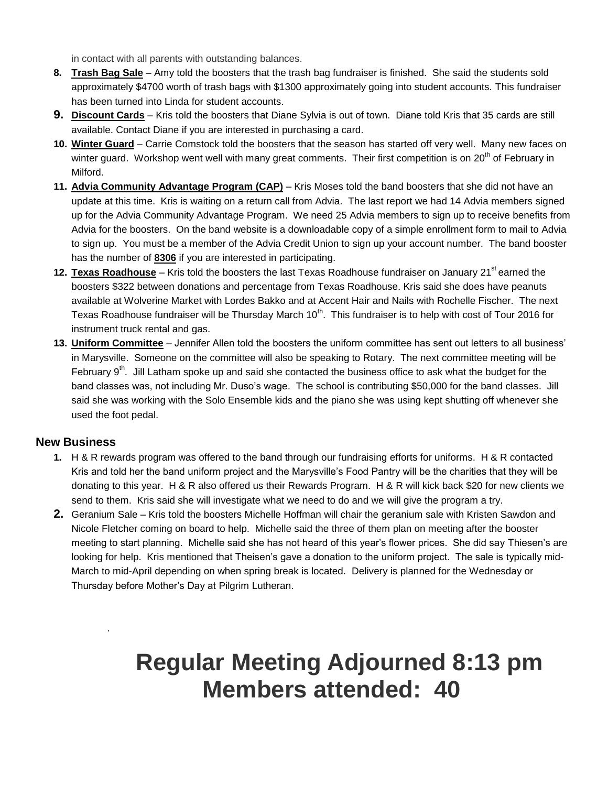in contact with all parents with outstanding balances.

- **8. Trash Bag Sale** Amy told the boosters that the trash bag fundraiser is finished. She said the students sold approximately \$4700 worth of trash bags with \$1300 approximately going into student accounts. This fundraiser has been turned into Linda for student accounts.
- **9. Discount Cards** Kris told the boosters that Diane Sylvia is out of town. Diane told Kris that 35 cards are still available. Contact Diane if you are interested in purchasing a card.
- **10. Winter Guard** Carrie Comstock told the boosters that the season has started off very well. Many new faces on winter guard. Workshop went well with many great comments. Their first competition is on 20<sup>th</sup> of February in Milford.
- **11. Advia Community Advantage Program (CAP)** Kris Moses told the band boosters that she did not have an update at this time. Kris is waiting on a return call from Advia. The last report we had 14 Advia members signed up for the Advia Community Advantage Program. We need 25 Advia members to sign up to receive benefits from Advia for the boosters. On the band website is a downloadable copy of a simple enrollment form to mail to Advia to sign up. You must be a member of the Advia Credit Union to sign up your account number. The band booster has the number of **8306** if you are interested in participating.
- **12. Texas Roadhouse** Kris told the boosters the last Texas Roadhouse fundraiser on January 21<sup>st</sup> earned the boosters \$322 between donations and percentage from Texas Roadhouse. Kris said she does have peanuts available at Wolverine Market with Lordes Bakko and at Accent Hair and Nails with Rochelle Fischer. The next Texas Roadhouse fundraiser will be Thursday March 10<sup>th</sup>. This fundraiser is to help with cost of Tour 2016 for instrument truck rental and gas.
- **13. Uniform Committee** Jennifer Allen told the boosters the uniform committee has sent out letters to all business' in Marysville. Someone on the committee will also be speaking to Rotary. The next committee meeting will be February  $9<sup>th</sup>$ . Jill Latham spoke up and said she contacted the business office to ask what the budget for the band classes was, not including Mr. Duso's wage. The school is contributing \$50,000 for the band classes. Jill said she was working with the Solo Ensemble kids and the piano she was using kept shutting off whenever she used the foot pedal.

#### **New Business**

.

- **1.** H & R rewards program was offered to the band through our fundraising efforts for uniforms. H & R contacted Kris and told her the band uniform project and the Marysville's Food Pantry will be the charities that they will be donating to this year. H & R also offered us their Rewards Program. H & R will kick back \$20 for new clients we send to them. Kris said she will investigate what we need to do and we will give the program a try.
- **2.** Geranium Sale Kris told the boosters Michelle Hoffman will chair the geranium sale with Kristen Sawdon and Nicole Fletcher coming on board to help. Michelle said the three of them plan on meeting after the booster meeting to start planning. Michelle said she has not heard of this year's flower prices. She did say Thiesen's are looking for help. Kris mentioned that Theisen's gave a donation to the uniform project. The sale is typically mid-March to mid-April depending on when spring break is located. Delivery is planned for the Wednesday or Thursday before Mother's Day at Pilgrim Lutheran.

## **Regular Meeting Adjourned 8:13 pm Members attended: 40**